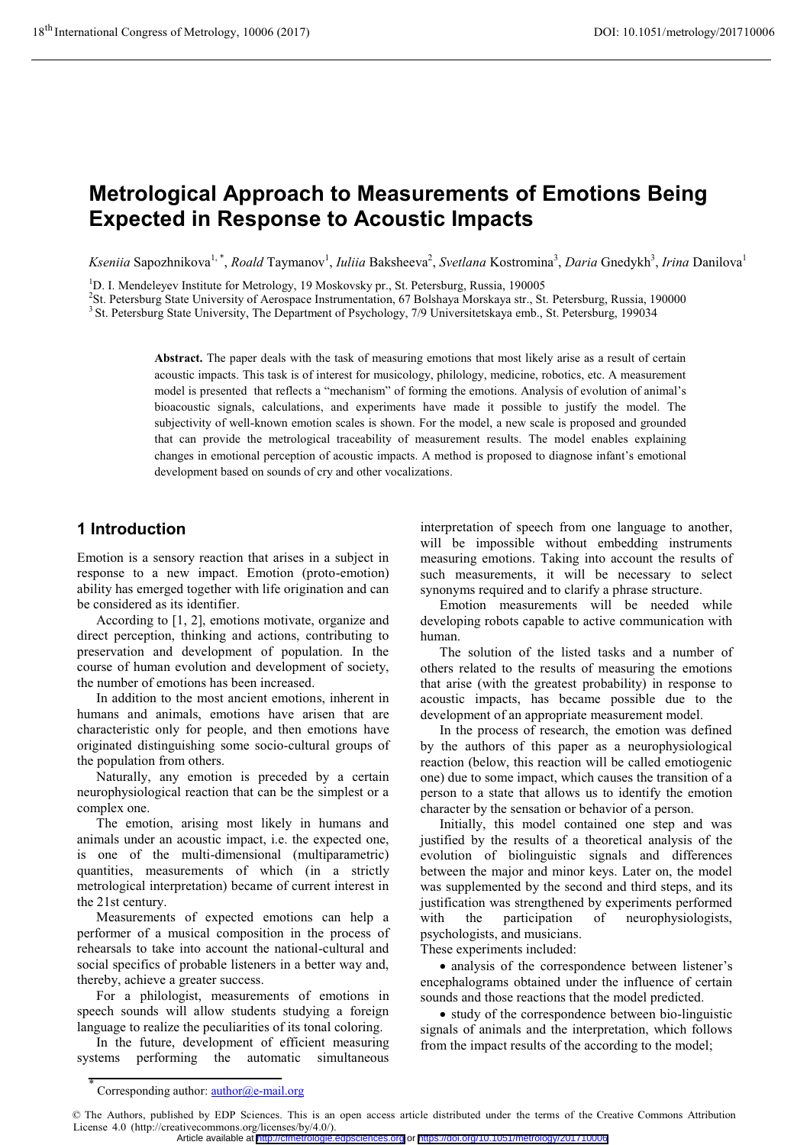# **Metrological Approach to Measurements of Emotions Being Expected in Response to Acoustic Impacts**

Kseniia Sapozhnikova<sup>1,\*</sup>, *Roald* Taymanov<sup>1</sup>, *Iuliia* Baksheeva<sup>2</sup>, *Svetlana* Kostromina<sup>3</sup>, *Daria* Gnedykh<sup>3</sup>, *Irina* Danilova<sup>1</sup>

<sup>1</sup>D. I. Mendeleyev Institute for Metrology, 19 Moskovsky pr., St. Petersburg, Russia, 190005<sup>2</sup>St. Petersburg, State University of Aerospace Instrumentation, 67 Bolshave Morskave str., St.

<sup>2</sup>St. Petersburg State University of Aerospace Instrumentation, 67 Bolshaya Morskaya str., St. Petersburg, Russia, 190000<br><sup>3</sup> St. Petersburg State University, The Department of Psychology, 7/9 Universitetskaya emb., St. P

**Abstract.** The paper deals with the task of measuring emotions that most likely arise as a result of certain acoustic impacts. This task is of interest for musicology, philology, medicine, robotics, etc. A measurement model is presented that reflects a "mechanism" of forming the emotions. Analysis of evolution of animal's bioacoustic signals, calculations, and experiments have made it possible to justify the model. The subjectivity of well-known emotion scales is shown. For the model, a new scale is proposed and grounded that can provide the metrological traceability of measurement results. The model enables explaining changes in emotional perception of acoustic impacts. A method is proposed to diagnose infant's emotional development based on sounds of cry and other vocalizations.

## **1 Introduction**

Emotion is a sensory reaction that arises in a subject in response to a new impact. Emotion (proto-emotion) ability has emerged together with life origination and can be considered as its identifier.

According to [1, 2], emotions motivate, organize and direct perception, thinking and actions, contributing to preservation and development of population. In the course of human evolution and development of society, the number of emotions has been increased.

In addition to the most ancient emotions, inherent in humans and animals, emotions have arisen that are characteristic only for people, and then emotions have originated distinguishing some socio-cultural groups of the population from others.

Naturally, any emotion is preceded by a certain neurophysiological reaction that can be the simplest or a complex one.

The emotion, arising most likely in humans and animals under an acoustic impact, i.e. the expected one, is one of the multi-dimensional (multiparametric) quantities, measurements of which (in a strictly metrological interpretation) became of current interest in the 21st century.

Measurements of expected emotions can help a performer of a musical composition in the process of rehearsals to take into account the national-cultural and social specifics of probable listeners in a better way and, thereby, achieve a greater success.

For a philologist, measurements of emotions in speech sounds will allow students studying a foreign language to realize the peculiarities of its tonal coloring.

In the future, development of efficient measuring systems performing the automatic simultaneous

interpretation of speech from one language to another, will be impossible without embedding instruments measuring emotions. Taking into account the results of such measurements, it will be necessary to select synonyms required and to clarify a phrase structure.

Emotion measurements will be needed while developing robots capable to active communication with human.

The solution of the listed tasks and a number of others related to the results of measuring the emotions that arise (with the greatest probability) in response to acoustic impacts, has became possible due to the development of an appropriate measurement model.

In the process of research, the emotion was defined by the authors of this paper as a neurophysiological reaction (below, this reaction will be called emotiogenic one) due to some impact, which causes the transition of a person to a state that allows us to identify the emotion character by the sensation or behavior of a person.

Initially, this model contained one step and was justified by the results of a theoretical analysis of the evolution of biolinguistic signals and differences between the major and minor keys. Later on, the model was supplemented by the second and third steps, and its justification was strengthened by experiments performed with the participation of neurophysiologists, psychologists, and musicians.

These experiments included:

- analysis of the correspondence between listener's encephalograms obtained under the influence of certain sounds and those reactions that the model predicted.

- study of the correspondence between bio-linguistic signals of animals and the interpretation, which follows from the impact results of the according to the model;

<sup>\*</sup> Corresponding author: author@e-mail.org

<sup>©</sup> The Authors, published by EDP Sciences. This is an open access article distributed under the terms of the Creative Commons Attribution License 4.0 (http://creativecommons.org/licenses/by/4.0/).

Article available at <http://cfmetrologie.edpsciences.org> or <https://doi.org/10.1051/metrology/201710006>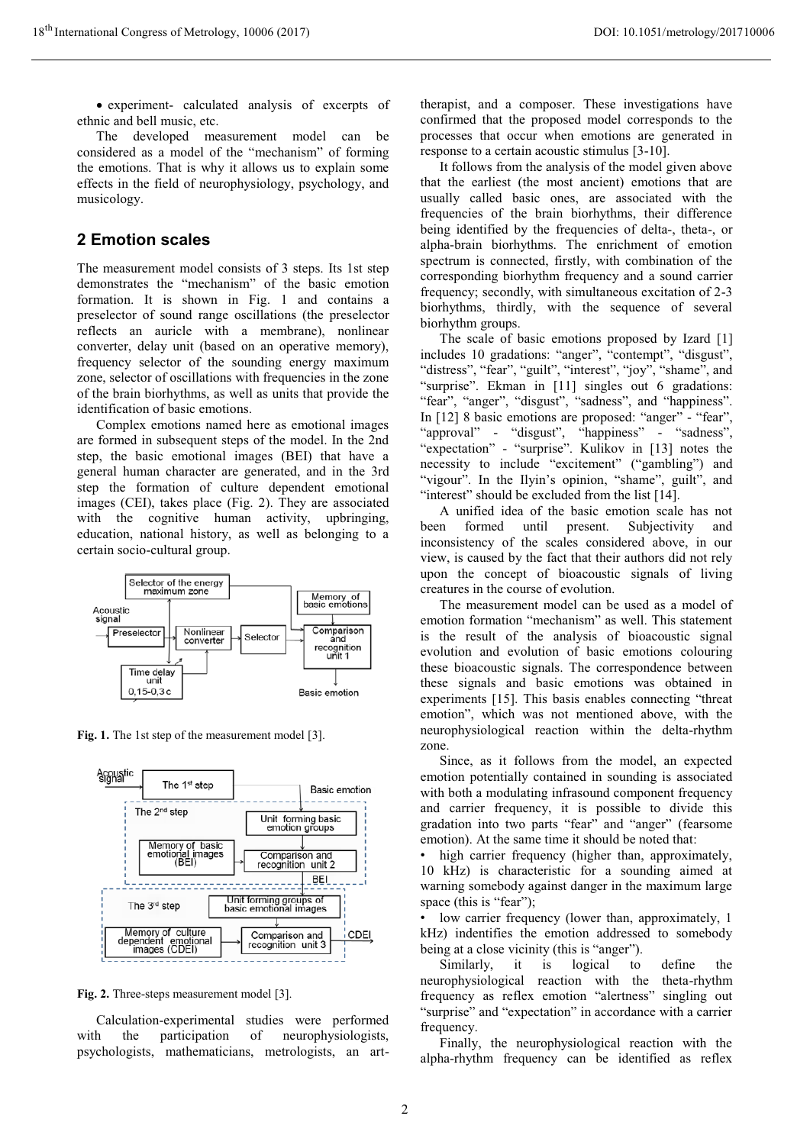- experiment- calculated analysis of excerpts of ethnic and bell music, etc.

The developed measurement model can be considered as a model of the "mechanism" of forming the emotions. That is why it allows us to explain some effects in the field of neurophysiology, psychology, and musicology.

#### **2 Emotion scales**

The measurement model consists of 3 steps. Its 1st step demonstrates the "mechanism" of the basic emotion formation. It is shown in Fig. 1 and contains a preselector of sound range oscillations (the preselector reflects an auricle with a membrane), nonlinear converter, delay unit (based on an operative memory), frequency selector of the sounding energy maximum zone, selector of oscillations with frequencies in the zone of the brain biorhythms, as well as units that provide the identification of basic emotions.

Complex emotions named here as emotional images are formed in subsequent steps of the model. In the 2nd step, the basic emotional images (BEI) that have a general human character are generated, and in the 3rd step the formation of culture dependent emotional images (CEI), takes place (Fig. 2). They are associated with the cognitive human activity, upbringing, education, national history, as well as belonging to a certain socio-cultural group.



**Fig. 1.** The 1st step of the measurement model [3].



**Fig. 2.** Three-steps measurement model [3].

Calculation-experimental studies were performed with the participation of neurophysiologists, psychologists, mathematicians, metrologists, an art-

therapist, and a composer. These investigations have confirmed that the proposed model corresponds to the processes that occur when emotions are generated in response to a certain acoustic stimulus [3-10].

It follows from the analysis of the model given above that the earliest (the most ancient) emotions that are usually called basic ones, are associated with the frequencies of the brain biorhythms, their difference being identified by the frequencies of delta-, theta-, or alpha-brain biorhythms. The enrichment of emotion spectrum is connected, firstly, with combination of the corresponding biorhythm frequency and a sound carrier frequency; secondly, with simultaneous excitation of 2-3 biorhythms, thirdly, with the sequence of several biorhythm groups.

The scale of basic emotions proposed by Izard [1] includes 10 gradations: "anger", "contempt", "disgust", "distress", "fear", "guilt", "interest", "joy", "shame", and "surprise". Ekman in [11] singles out 6 gradations: "fear", "anger", "disgust", "sadness", and "happiness". In [12] 8 basic emotions are proposed: "anger" - "fear", "approval" - "disgust", "happiness" - "sadness", "expectation" - "surprise". Kulikov in [13] notes the necessity to include "excitement" ("gambling") and "vigour". In the Ilyin's opinion, "shame", guilt", and "interest" should be excluded from the list [14].

A unified idea of the basic emotion scale has not been formed until present. Subjectivity and inconsistency of the scales considered above, in our view, is caused by the fact that their authors did not rely upon the concept of bioacoustic signals of living creatures in the course of evolution.

The measurement model can be used as a model of emotion formation "mechanism" as well. This statement is the result of the analysis of bioacoustic signal evolution and evolution of basic emotions colouring these bioacoustic signals. The correspondence between these signals and basic emotions was obtained in experiments [15]. This basis enables connecting "threat emotion", which was not mentioned above, with the neurophysiological reaction within the delta-rhythm zone.

Since, as it follows from the model, an expected emotion potentially contained in sounding is associated with both a modulating infrasound component frequency and carrier frequency, it is possible to divide this gradation into two parts "fear" and "anger" (fearsome emotion). At the same time it should be noted that:

high carrier frequency (higher than, approximately, 10 kHz) is characteristic for a sounding aimed at warning somebody against danger in the maximum large space (this is "fear");

low carrier frequency (lower than, approximately, 1 kHz) indentifies the emotion addressed to somebody being at a close vicinity (this is "anger").

Similarly, it is logical to define the neurophysiological reaction with the theta-rhythm frequency as reflex emotion "alertness" singling out "surprise" and "expectation" in accordance with a carrier frequency.

Finally, the neurophysiological reaction with the alpha-rhythm frequency can be identified as reflex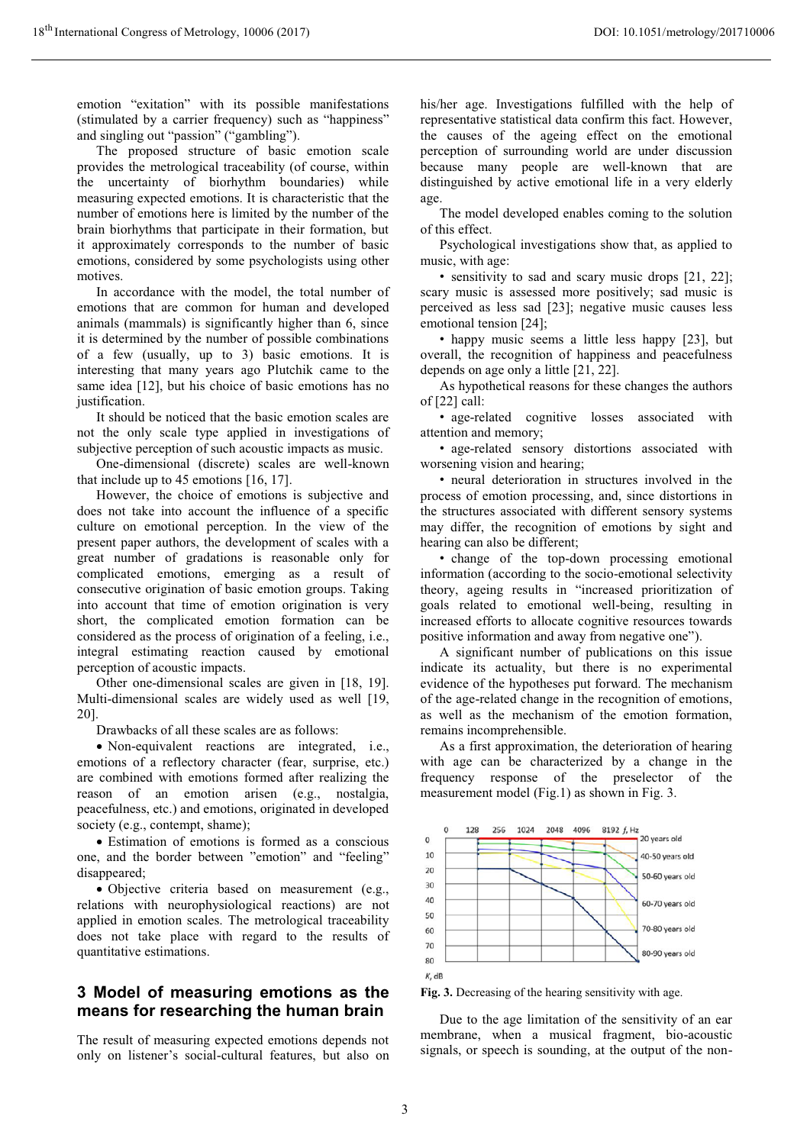emotion "exitation" with its possible manifestations (stimulated by a carrier frequency) such as "happiness" and singling out "passion" ("gambling").

The proposed structure of basic emotion scale provides the metrological traceability (of course, within the uncertainty of biorhythm boundaries) while measuring expected emotions. It is characteristic that the number of emotions here is limited by the number of the brain biorhythms that participate in their formation, but it approximately corresponds to the number of basic emotions, considered by some psychologists using other motives.

In accordance with the model, the total number of emotions that are common for human and developed animals (mammals) is significantly higher than 6, since it is determined by the number of possible combinations of a few (usually, up to 3) basic emotions. It is interesting that many years ago Plutchik came to the same idea [12], but his choice of basic emotions has no justification.

It should be noticed that the basic emotion scales are not the only scale type applied in investigations of subjective perception of such acoustic impacts as music.

One-dimensional (discrete) scales are well-known that include up to 45 emotions [16, 17].

However, the choice of emotions is subjective and does not take into account the influence of a specific culture on emotional perception. In the view of the present paper authors, the development of scales with a great number of gradations is reasonable only for complicated emotions, emerging as a result of consecutive origination of basic emotion groups. Taking into account that time of emotion origination is very short, the complicated emotion formation can be considered as the process of origination of a feeling, i.e., integral estimating reaction caused by emotional perception of acoustic impacts.

Other one-dimensional scales are given in [18, 19]. Multi-dimensional scales are widely used as well [19, 20].

Drawbacks of all these scales are as follows:

- Non-equivalent reactions are integrated, i.e., emotions of a reflectory character (fear, surprise, etc.) are combined with emotions formed after realizing the reason of an emotion arisen (e.g., nostalgia, peacefulness, etc.) and emotions, originated in developed society (e.g., contempt, shame);

- Estimation of emotions is formed as a conscious one, and the border between "emotion" and "feeling" disappeared;

- Objective criteria based on measurement (e.g., relations with neurophysiological reactions) are not applied in emotion scales. The metrological traceability does not take place with regard to the results of quantitative estimations.

#### **3 Model of measuring emotions as the means for researching the human brain**

The result of measuring expected emotions depends not only on listener's social-cultural features, but also on his/her age. Investigations fulfilled with the help of representative statistical data confirm this fact. However, the causes of the ageing effect on the emotional perception of surrounding world are under discussion because many people are well-known that are distinguished by active emotional life in a very elderly age.

The model developed enables coming to the solution of this effect.

Psychological investigations show that, as applied to music, with age:

• sensitivity to sad and scary music drops [21, 22]; scary music is assessed more positively; sad music is perceived as less sad [23]; negative music causes less emotional tension [24];

• happy music seems a little less happy [23], but overall, the recognition of happiness and peacefulness depends on age only a little [21, 22].

As hypothetical reasons for these changes the authors of [22] call:

• age-related cognitive losses associated with attention and memory;

• age-related sensory distortions associated with worsening vision and hearing;

• neural deterioration in structures involved in the process of emotion processing, and, since distortions in the structures associated with different sensory systems may differ, the recognition of emotions by sight and hearing can also be different;

• change of the top-down processing emotional information (according to the socio-emotional selectivity theory, ageing results in "increased prioritization of goals related to emotional well-being, resulting in increased efforts to allocate cognitive resources towards positive information and away from negative one").

A significant number of publications on this issue indicate its actuality, but there is no experimental evidence of the hypotheses put forward. The mechanism of the age-related change in the recognition of emotions, as well as the mechanism of the emotion formation, remains incomprehensible.

As a first approximation, the deterioration of hearing with age can be characterized by a change in the frequency response of the preselector of the measurement model (Fig.1) as shown in Fig. 3.



**Fig. 3.** Decreasing of the hearing sensitivity with age.

Due to the age limitation of the sensitivity of an ear membrane, when a musical fragment, bio-acoustic signals, or speech is sounding, at the output of the non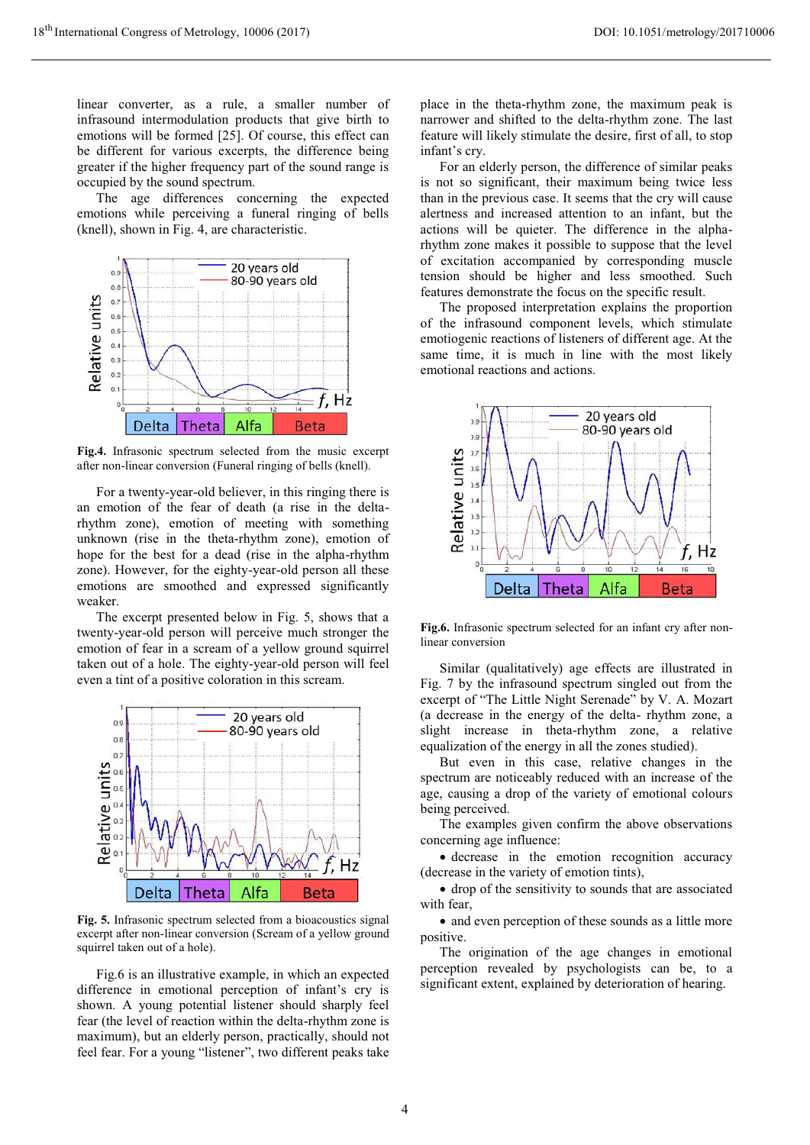linear converter, as a rule, a smaller number of infrasound intermodulation products that give birth to emotions will be formed [25]. Of course, this effect can be different for various excerpts, the difference being greater if the higher frequency part of the sound range is occupied by the sound spectrum.

The age differences concerning the expected emotions while perceiving a funeral ringing of bells (knell), shown in Fig. 4, are characteristic.



**Fig.4.** Infrasonic spectrum selected from the music excerpt after non-linear conversion (Funeral ringing of bells (knell).

For a twenty-year-old believer, in this ringing there is an emotion of the fear of death (a rise in the deltarhythm zone), emotion of meeting with something unknown (rise in the theta-rhythm zone), emotion of hope for the best for a dead (rise in the alpha-rhythm zone). However, for the eighty-year-old person all these emotions are smoothed and expressed significantly weaker.

The excerpt presented below in Fig. 5, shows that a twenty-year-old person will perceive much stronger the emotion of fear in a scream of a yellow ground squirrel taken out of a hole. The eighty-year-old person will feel even a tint of a positive coloration in this scream.



**Fig. 5.** Infrasonic spectrum selected from a bioacoustics signal excerpt after non-linear conversion (Scream of a yellow ground squirrel taken out of a hole).

Fig.6 is an illustrative example, in which an expected difference in emotional perception of infant's cry is shown. A young potential listener should sharply feel fear (the level of reaction within the delta-rhythm zone is maximum), but an elderly person, practically, should not feel fear. For a young "listener", two different peaks take

place in the theta-rhythm zone, the maximum peak is narrower and shifted to the delta-rhythm zone. The last feature will likely stimulate the desire, first of all, to stop infant's cry.

For an elderly person, the difference of similar peaks is not so significant, their maximum being twice less than in the previous case. It seems that the cry will cause alertness and increased attention to an infant, but the actions will be quieter. The difference in the alpharhythm zone makes it possible to suppose that the level of excitation accompanied by corresponding muscle tension should be higher and less smoothed. Such features demonstrate the focus on the specific result.

The proposed interpretation explains the proportion of the infrasound component levels, which stimulate emotiogenic reactions of listeners of different age. At the same time, it is much in line with the most likely emotional reactions and actions.



**Fig.6.** Infrasonic spectrum selected for an infant cry after nonlinear conversion

Similar (qualitatively) age effects are illustrated in Fig. 7 by the infrasound spectrum singled out from the excerpt of "The Little Night Serenade" by V. А. Mozart (a decrease in the energy of the delta- rhythm zone, a slight increase in theta-rhythm zone, a relative equalization of the energy in all the zones studied).

But even in this case, relative changes in the spectrum are noticeably reduced with an increase of the age, causing a drop of the variety of emotional colours being perceived.

The examples given confirm the above observations concerning age influence:

- decrease in the emotion recognition accuracy (decrease in the variety of emotion tints),

- drop of the sensitivity to sounds that are associated with fear,

- and even perception of these sounds as a little more positive.

The origination of the age changes in emotional perception revealed by psychologists can be, to a significant extent, explained by deterioration of hearing.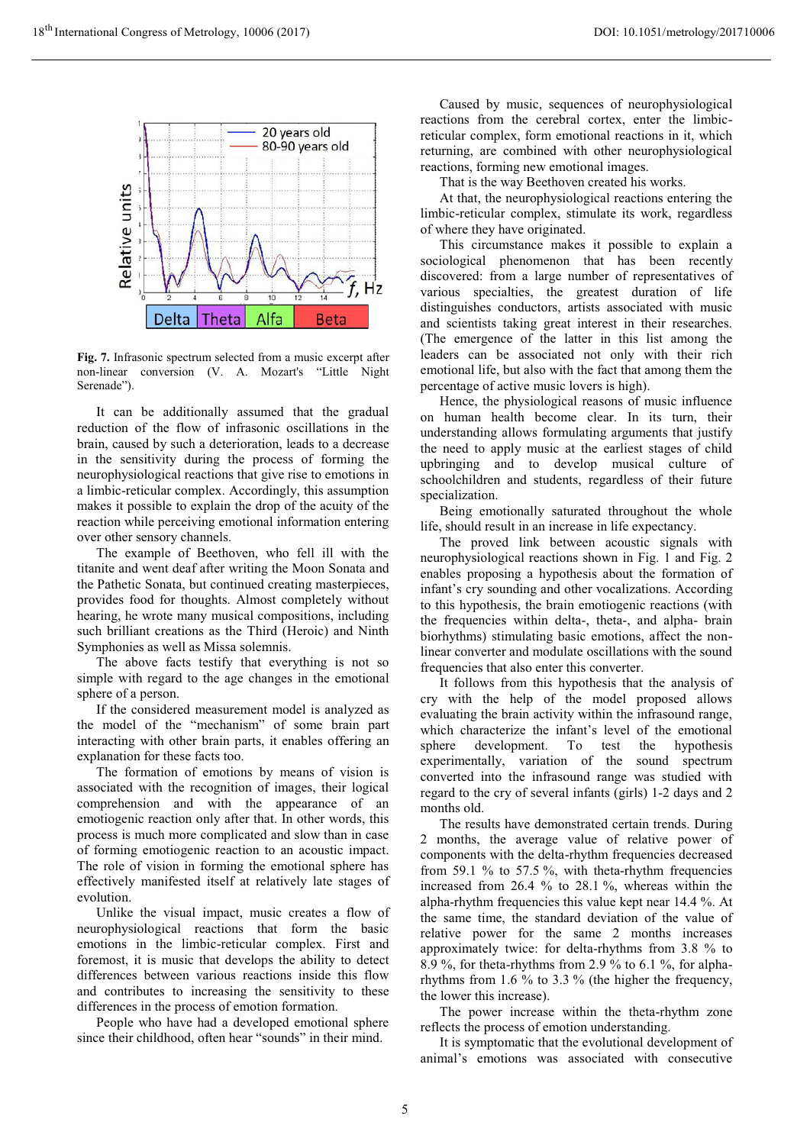

**Fig. 7.** Infrasonic spectrum selected from a music excerpt after non-linear conversion (V. A. Mozart's "Little Night Serenade").

It can be additionally assumed that the gradual reduction of the flow of infrasonic oscillations in the brain, caused by such a deterioration, leads to a decrease in the sensitivity during the process of forming the neurophysiological reactions that give rise to emotions in a limbic-reticular complex. Accordingly, this assumption makes it possible to explain the drop of the acuity of the reaction while perceiving emotional information entering over other sensory channels.

The example of Beethoven, who fell ill with the titanite and went deaf after writing the Moon Sonata and the Pathetic Sonata, but continued creating masterpieces, provides food for thoughts. Almost completely without hearing, he wrote many musical compositions, including such brilliant creations as the Third (Heroic) and Ninth Symphonies as well as Missa solemnis.

The above facts testify that everything is not so simple with regard to the age changes in the emotional sphere of a person.

If the considered measurement model is analyzed as the model of the "mechanism" of some brain part interacting with other brain parts, it enables offering an explanation for these facts too.

The formation of emotions by means of vision is associated with the recognition of images, their logical comprehension and with the appearance of an emotiogenic reaction only after that. In other words, this process is much more complicated and slow than in case of forming emotiogenic reaction to an acoustic impact. The role of vision in forming the emotional sphere has effectively manifested itself at relatively late stages of evolution.

Unlike the visual impact, music creates a flow of neurophysiological reactions that form the basic emotions in the limbic-reticular complex. First and foremost, it is music that develops the ability to detect differences between various reactions inside this flow and contributes to increasing the sensitivity to these differences in the process of emotion formation.

People who have had a developed emotional sphere since their childhood, often hear "sounds" in their mind.

Caused by music, sequences of neurophysiological reactions from the cerebral cortex, enter the limbicreticular complex, form emotional reactions in it, which returning, are combined with other neurophysiological reactions, forming new emotional images.

That is the way Beethoven created his works.

At that, the neurophysiological reactions entering the limbic-reticular complex, stimulate its work, regardless of where they have originated.

This circumstance makes it possible to explain a sociological phenomenon that has been recently discovered: from a large number of representatives of various specialties, the greatest duration of life distinguishes conductors, artists associated with music and scientists taking great interest in their researches. (The emergence of the latter in this list among the leaders can be associated not only with their rich emotional life, but also with the fact that among them the percentage of active music lovers is high).

Hence, the physiological reasons of music influence on human health become clear. In its turn, their understanding allows formulating arguments that justify the need to apply music at the earliest stages of child upbringing and to develop musical culture of schoolchildren and students, regardless of their future specialization.

Being emotionally saturated throughout the whole life, should result in an increase in life expectancy.

The proved link between acoustic signals with neurophysiological reactions shown in Fig. 1 and Fig. 2 enables proposing a hypothesis about the formation of infant's cry sounding and other vocalizations. According to this hypothesis, the brain emotiogenic reactions (with the frequencies within delta-, theta-, and alpha- brain biorhythms) stimulating basic emotions, affect the nonlinear converter and modulate oscillations with the sound frequencies that also enter this converter.

It follows from this hypothesis that the analysis of cry with the help of the model proposed allows evaluating the brain activity within the infrasound range, which characterize the infant's level of the emotional sphere development. To test the hypothesis experimentally, variation of the sound spectrum converted into the infrasound range was studied with regard to the cry of several infants (girls) 1-2 days and 2 months old.

The results have demonstrated certain trends. During 2 months, the average value of relative power of components with the delta-rhythm frequencies decreased from 59.1 % to 57.5 %, with theta-rhythm frequencies increased from 26.4 % to 28.1 %, whereas within the alpha-rhythm frequencies this value kept near 14.4 %. At the same time, the standard deviation of the value of relative power for the same 2 months increases approximately twice: for delta-rhythms from 3.8 % to 8.9 %, for theta-rhythms from 2.9 % to 6.1 %, for alpharhythms from 1.6 % to 3.3 % (the higher the frequency, the lower this increase).

The power increase within the theta-rhythm zone reflects the process of emotion understanding.

It is symptomatic that the evolutional development of animal's emotions was associated with consecutive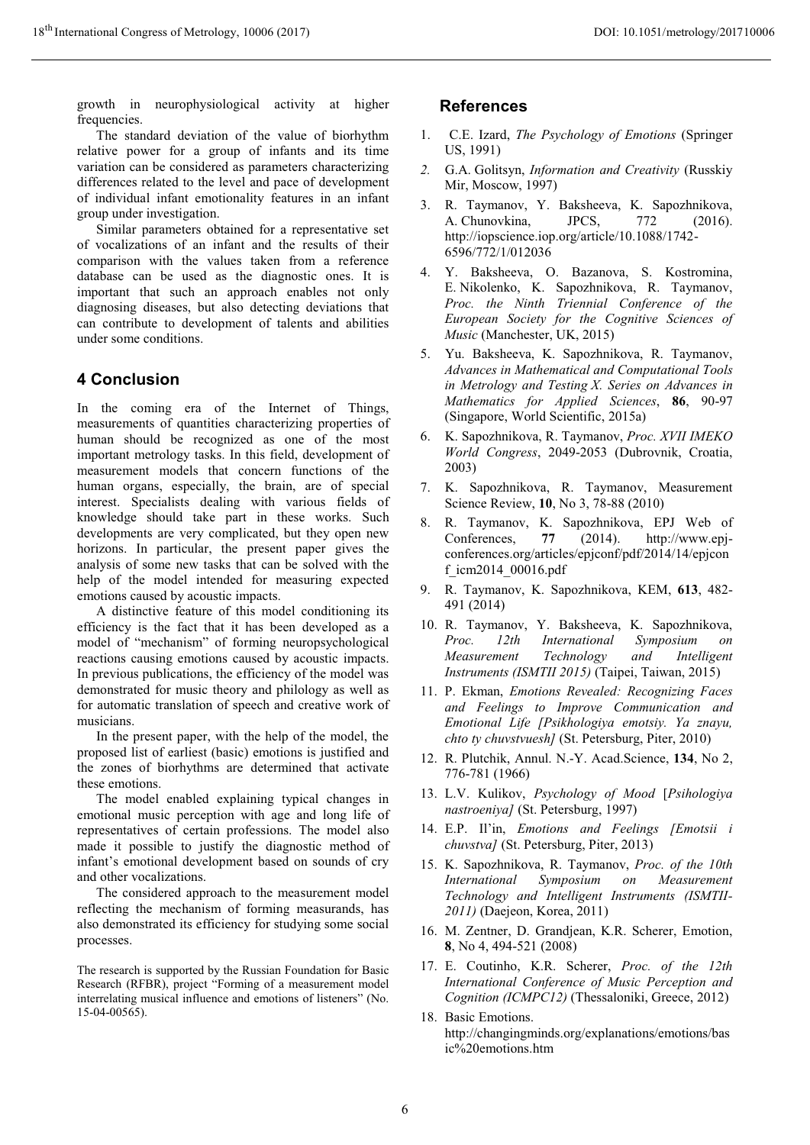growth in neurophysiological activity at higher frequencies.

The standard deviation of the value of biorhythm relative power for a group of infants and its time variation can be considered as parameters characterizing differences related to the level and pace of development of individual infant emotionality features in an infant group under investigation.

Similar parameters obtained for a representative set of vocalizations of an infant and the results of their comparison with the values taken from a reference database can be used as the diagnostic ones. It is important that such an approach enables not only diagnosing diseases, but also detecting deviations that can contribute to development of talents and abilities under some conditions.

### **4 Conclusion**

In the coming era of the Internet of Things, measurements of quantities characterizing properties of human should be recognized as one of the most important metrology tasks. In this field, development of measurement models that concern functions of the human organs, especially, the brain, are of special interest. Specialists dealing with various fields of knowledge should take part in these works. Such developments are very complicated, but they open new horizons. In particular, the present paper gives the analysis of some new tasks that can be solved with the help of the model intended for measuring expected emotions caused by acoustic impacts.

A distinctive feature of this model conditioning its efficiency is the fact that it has been developed as a model of "mechanism" of forming neuropsychological reactions causing emotions caused by acoustic impacts. In previous publications, the efficiency of the model was demonstrated for music theory and philology as well as for automatic translation of speech and creative work of musicians.

In the present paper, with the help of the model, the proposed list of earliest (basic) emotions is justified and the zones of biorhythms are determined that activate these emotions.

The model enabled explaining typical changes in emotional music perception with age and long life of representatives of certain professions. The model also made it possible to justify the diagnostic method of infant's emotional development based on sounds of cry and other vocalizations.

The considered approach to the measurement model reflecting the mechanism of forming measurands, has also demonstrated its efficiency for studying some social processes.

The research is supported by the Russian Foundation for Basic Research (RFBR), project "Forming of a measurement model interrelating musical influence and emotions of listeners" (No. 15-04-00565).

#### **References**

- 1. C.E. Izard, *The Psychology of Emotions* (Springer US, 1991)
- *2.* G.A. Golitsyn, *Information and Creativity* (Russkiy Mir, Moscow, 1997)
- 3. R. Taymanov, Y. Baksheeva, K. Sapozhnikova, A. Chunovkina, JPCS, 772 (2016). http://iopscience.iop.org/article/10.1088/1742- 6596/772/1/012036
- 4. Y. Baksheeva, O. Bazanova, S. Kostromina, E. Nikolenko, K. Sapozhnikova, R. Taymanov, *Proc. the Ninth Triennial Conference of the European Society for the Cognitive Sciences of Music* (Manchester, UK, 2015)
- 5. Yu. Baksheeva, K. Sapozhnikova, R. Taymanov, *Advances in Mathematical and Computational Tools in Metrology and Testing X. Series on Advances in Mathematics for Applied Sciences*, **86**, 90-97 (Singapore, World Scientific, 2015a)
- 6. K. Sapozhnikova, R. Taymanov, *Proc. XVII IMEKO World Congress*, 2049-2053 (Dubrovnik, Croatia, 2003)
- 7. K. Sapozhnikova, R. Taymanov, Measurement Science Review, **10**, No 3, 78-88 (2010)
- 8. R. Taymanov, K. Sapozhnikova, EPJ Web of Conferences, **77** (2014). http://www.epj-conferences.org/articles/epjconf/pdf/2014/14/epjcon f\_icm2014\_00016.pdf
- 9. R. Taymanov, K. Sapozhnikova, KEM, **613**, 482- 491 (2014)
- 10. R. Taymanov, Y. Baksheeva, K. Sapozhnikova, *Proc. 12th International Symposium on Measurement Technology and Intelligent Instruments (ISMTII 2015)* (Taipei, Taiwan, 2015)
- 11. P. Ekman, *Emotions Revealed: Recognizing Faces and Feelings to Improve Communication and Emotional Life [Psikhologiya emotsiy. Ya znayu, chto ty chuvstvuesh]* (St. Petersburg, Piter, 2010)
- 12. R. Plutchik, Annul. N.-Y. Acad.Science, **134**, No 2, 776-781 (1966)
- 13. L.V. Kulikov, *Psychology of Mood* [*Psihologiya nastroeniya]* (St. Petersburg, 1997)
- 14. E.P. Il'in, *Emotions and Feelings [Emotsii i chuvstva]* (St. Petersburg, Piter, 2013)
- 15. K. Sapozhnikova, R. Taymanov, *Proc. of the 10th International Symposium on Measurement Technology and Intelligent Instruments (ISMTII-2011)* (Daejeon, Korea, 2011)
- 16. M. Zentner, D. Grandjean, K.R. Scherer, Emotion, **8**, No 4, 494-521 (2008)
- 17. E. Coutinho, K.R. Scherer, *Proc. of the 12th International Conference of Music Perception and Cognition (ICMPC12)* (Thessaloniki, Greece, 2012)
- 18. Basic Emotions. http://changingminds.org/explanations/emotions/bas ic%20emotions.htm